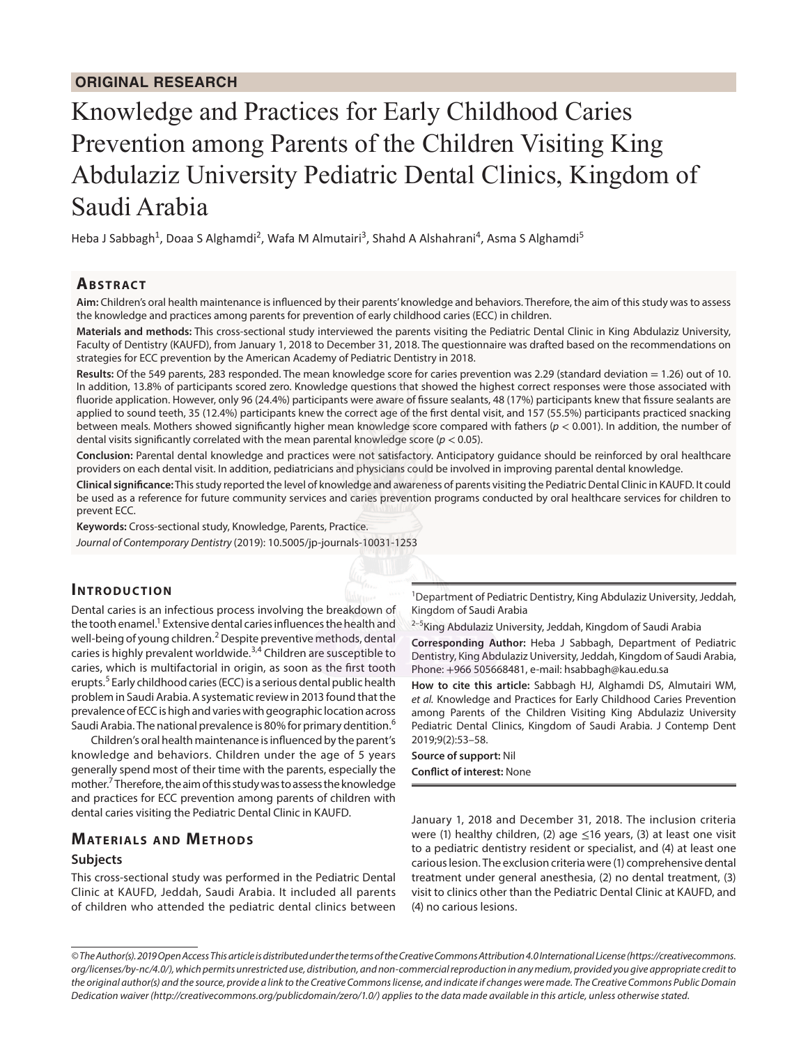# Knowledge and Practices for Early Childhood Caries Prevention among Parents of the Children Visiting King Abdulaziz University Pediatric Dental Clinics, Kingdom of Saudi Arabia

Heba J Sabbagh<sup>1</sup>, Doaa S Alghamdi<sup>2</sup>, Wafa M Almutairi<sup>3</sup>, Shahd A Alshahrani<sup>4</sup>, Asma S Alghamdi<sup>5</sup>

### **ABSTRACT**

**Aim:** Children's oral health maintenance is influenced by their parents' knowledge and behaviors. Therefore, the aim of this study was to assess the knowledge and practices among parents for prevention of early childhood caries (ECC) in children.

**Materials and methods:** This cross-sectional study interviewed the parents visiting the Pediatric Dental Clinic in King Abdulaziz University, Faculty of Dentistry (KAUFD), from January 1, 2018 to December 31, 2018. The questionnaire was drafted based on the recommendations on strategies for ECC prevention by the American Academy of Pediatric Dentistry in 2018.

**Results:** Of the 549 parents, 283 responded. The mean knowledge score for caries prevention was 2.29 (standard deviation = 1.26) out of 10. In addition, 13.8% of participants scored zero. Knowledge questions that showed the highest correct responses were those associated with fluoride application. However, only 96 (24.4%) participants were aware of fissure sealants, 48 (17%) participants knew that fissure sealants are applied to sound teeth, 35 (12.4%) participants knew the correct age of the first dental visit, and 157 (55.5%) participants practiced snacking between meals. Mothers showed significantly higher mean knowledge score compared with fathers (*p* < 0.001). In addition, the number of dental visits significantly correlated with the mean parental knowledge score ( $p < 0.05$ ).

**Conclusion:** Parental dental knowledge and practices were not satisfactory. Anticipatory guidance should be reinforced by oral healthcare providers on each dental visit. In addition, pediatricians and physicians could be involved in improving parental dental knowledge.

**Clinical significance:** This study reported the level of knowledge and awareness of parents visiting the Pediatric Dental Clinic in KAUFD. It could be used as a reference for future community services and caries prevention programs conducted by oral healthcare services for children to prevent ECC.

**Keywords:** Cross-sectional study, Knowledge, Parents, Practice.

*Journal of Contemporary Dentistry* (2019): 10.5005/jp-journals-10031-1253

#### **INTRODUCTION**

Dental caries is an infectious process involving the breakdown of the tooth enamel.<sup>1</sup> Extensive dental caries influences the health and well-being of young children.<sup>2</sup> Despite preventive methods, dental caries is highly prevalent worldwide.<sup>3,4</sup> Children are susceptible to caries, which is multifactorial in origin, as soon as the first tooth erupts.<sup>5</sup> Early childhood caries (ECC) is a serious dental public health problem in Saudi Arabia. A systematic review in 2013 found that the prevalence of ECC is high and varies with geographic location across Saudi Arabia. The national prevalence is 80% for primary dentition.<sup>6</sup>

Children's oral health maintenance is influenced by the parent's knowledge and behaviors. Children under the age of 5 years generally spend most of their time with the parents, especially the mother.<sup>7</sup> Therefore, the aim of this study was to assess the knowledge and practices for ECC prevention among parents of children with dental caries visiting the Pediatric Dental Clinic in KAUFD.

#### **MATERIALS AND METHODS**

#### **Subjects**

This cross-sectional study was performed in the Pediatric Dental Clinic at KAUFD, Jeddah, Saudi Arabia. It included all parents of children who attended the pediatric dental clinics between

<sup>1</sup>Department of Pediatric Dentistry, King Abdulaziz University, Jeddah, Kingdom of Saudi Arabia

<sup>2–5</sup>King Abdulaziz University, Jeddah, Kingdom of Saudi Arabia

**Corresponding Author:** Heba J Sabbagh, Department of Pediatric Dentistry, King Abdulaziz University, Jeddah, Kingdom of Saudi Arabia, Phone: +966 505668481, e-mail: hsabbagh@kau.edu.sa

**How to cite this article:** Sabbagh HJ, Alghamdi DS, Almutairi WM, *et al.* Knowledge and Practices for Early Childhood Caries Prevention among Parents of the Children Visiting King Abdulaziz University Pediatric Dental Clinics, Kingdom of Saudi Arabia. J Contemp Dent 2019;9(2):53–58.

**Source of support:** Nil **Conflict of interest:** None

January 1, 2018 and December 31, 2018. The inclusion criteria were (1) healthy children, (2) age  $\leq$ 16 years, (3) at least one visit to a pediatric dentistry resident or specialist, and (4) at least one carious lesion. The exclusion criteria were (1) comprehensive dental treatment under general anesthesia, (2) no dental treatment, (3) visit to clinics other than the Pediatric Dental Clinic at KAUFD, and (4) no carious lesions.

*<sup>©</sup> The Author(s). 2019 Open Access This article is distributed under the terms of the Creative Commons Attribution 4.0 International License (https://creativecommons. org/licenses/by-nc/4.0/), which permits unrestricted use, distribution, and non-commercial reproduction in any medium, provided you give appropriate credit to the original author(s) and the source, provide a link to the Creative Commons license, and indicate if changes were made. The Creative Commons Public Domain Dedication waiver (http://creativecommons.org/publicdomain/zero/1.0/) applies to the data made available in this article, unless otherwise stated.*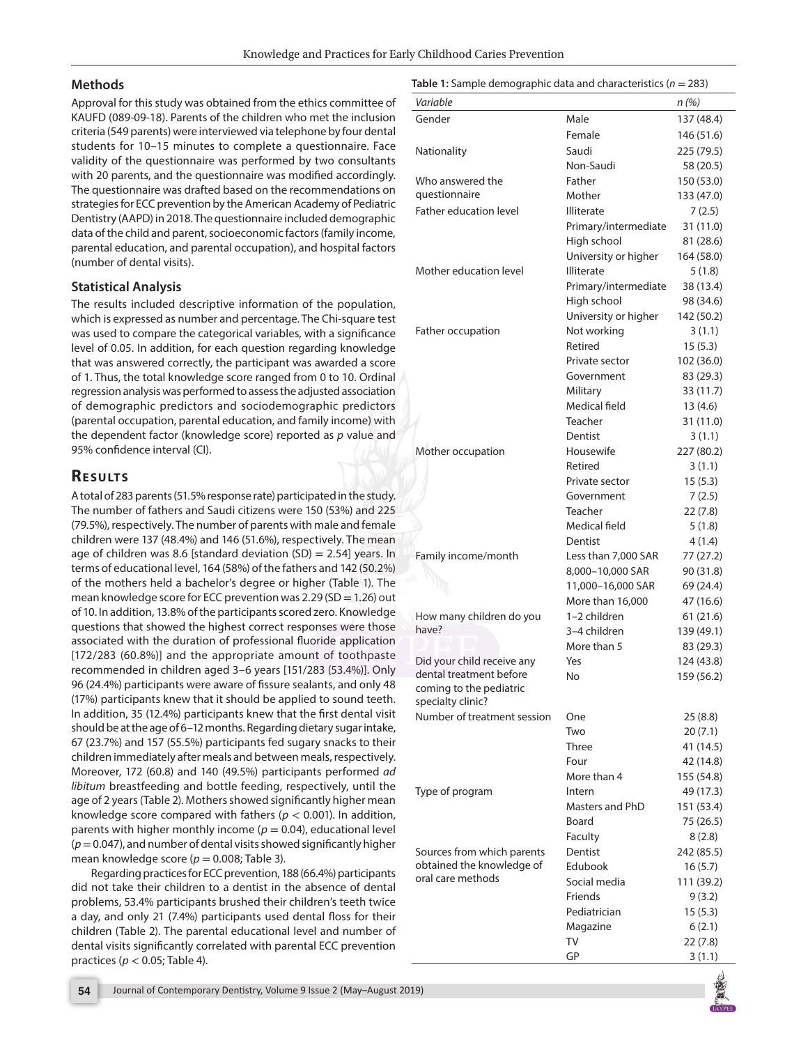#### **Methods**

Approval for this study was obtained from the ethics committee of KAUFD (089-09-18). Parents of the children who met the inclusion criteria (549 parents) were interviewed via telephone by four dental students for 10–15 minutes to complete a questionnaire. Face validity of the questionnaire was performed by two consultants with 20 parents, and the questionnaire was modified accordingly. The questionnaire was drafted based on the recommendations on strategies for ECC prevention by the American Academy of Pediatric Dentistry (AAPD) in 2018. The questionnaire included demographic data of the child and parent, socioeconomic factors (family income, parental education, and parental occupation), and hospital factors (number of dental visits).

#### **Statistical Analysis**

The results included descriptive information of the population, which is expressed as number and percentage. The Chi-square test was used to compare the categorical variables, with a significance level of 0.05. In addition, for each question regarding knowledge that was answered correctly, the participant was awarded a score of 1. Thus, the total knowledge score ranged from 0 to 10. Ordinal regression analysis was performed to assess the adjusted association of demographic predictors and sociodemographic predictors (parental occupation, parental education, and family income) with the dependent factor (knowledge score) reported as *p* value and 95% confidence interval (CI).

## **RESULTS**

A total of 283 parents (51.5% response rate) participated in the study. The number of fathers and Saudi citizens were 150 (53%) and 225 (79.5%), respectively. The number of parents with male and female children were 137 (48.4%) and 146 (51.6%), respectively. The mean age of children was 8.6 [standard deviation  $(SD) = 2.54$ ] years. In terms of educational level, 164 (58%) of the fathers and 142 (50.2%) of the mothers held a bachelor's degree or higher (Table 1). The mean knowledge score for ECC prevention was 2.29 (SD = 1.26) out of 10. In addition, 13.8% of the participants scored zero. Knowledge questions that showed the highest correct responses were those associated with the duration of professional fluoride application [172/283 (60.8%)] and the appropriate amount of toothpaste recommended in children aged 3–6 years [151/283 (53.4%)]. Only 96 (24.4%) participants were aware of fissure sealants, and only 48 (17%) participants knew that it should be applied to sound teeth. In addition, 35 (12.4%) participants knew that the first dental visit should be at the age of 6–12 months. Regarding dietary sugar intake, 67 (23.7%) and 157 (55.5%) participants fed sugary snacks to their children immediately after meals and between meals, respectively. Moreover, 172 (60.8) and 140 (49.5%) participants performed *ad libitum* breastfeeding and bottle feeding, respectively, until the age of 2 years (Table 2). Mothers showed significantly higher mean knowledge score compared with fathers (*p* < 0.001). In addition, parents with higher monthly income  $(p = 0.04)$ , educational level (*p*= 0.047), and number of dental visits showed significantly higher mean knowledge score ( $p = 0.008$ ; Table 3).

Regarding practices for ECC prevention, 188 (66.4%) participants did not take their children to a dentist in the absence of dental problems, 53.4% participants brushed their children's teeth twice a day, and only 21 (7.4%) participants used dental floss for their children (Table 2). The parental educational level and number of dental visits significantly correlated with parental ECC prevention practices (*p* < 0.05; Table 4).

#### **Table 1:** Sample demographic data and characteristics (*n* = 283)

| Variable                                              |                      | n (%)      |
|-------------------------------------------------------|----------------------|------------|
| Gender                                                | Male                 | 137 (48.4) |
|                                                       | Female               | 146 (51.6) |
| Nationality                                           | Saudi                | 225 (79.5) |
|                                                       | Non-Saudi            | 58 (20.5)  |
| Who answered the                                      | Father               | 150 (53.0) |
| questionnaire                                         | Mother               | 133 (47.0) |
| <b>Father education level</b>                         | <b>Illiterate</b>    | 7(2.5)     |
|                                                       | Primary/intermediate | 31 (11.0)  |
|                                                       | High school          | 81 (28.6)  |
|                                                       | University or higher | 164 (58.0) |
| Mother education level                                | <b>Illiterate</b>    | 5(1.8)     |
|                                                       | Primary/intermediate | 38 (13.4)  |
|                                                       | High school          | 98 (34.6)  |
|                                                       | University or higher | 142 (50.2) |
| Father occupation                                     | Not working          | 3(1.1)     |
|                                                       | Retired              | 15(5.3)    |
|                                                       | Private sector       | 102 (36.0) |
|                                                       | Government           | 83 (29.3)  |
|                                                       | Military             | 33 (11.7)  |
|                                                       | Medical field        | 13(4.6)    |
|                                                       | Teacher              | 31 (11.0)  |
|                                                       | Dentist              | 3(1.1)     |
| Mother occupation                                     | Housewife            | 227 (80.2) |
|                                                       | Retired              | 3(1.1)     |
|                                                       | Private sector       | 15(5.3)    |
|                                                       | Government           | 7(2.5)     |
|                                                       | Teacher              | 22(7.8)    |
|                                                       | Medical field        | 5 (1.8)    |
|                                                       | Dentist              | 4(1.4)     |
| Family income/month                                   | Less than 7,000 SAR  | 77 (27.2)  |
|                                                       | 8,000-10,000 SAR     | 90 (31.8)  |
|                                                       | 11,000-16,000 SAR    | 69 (24.4)  |
|                                                       | More than 16,000     | 47 (16.6)  |
| How many children do you<br>have?                     | 1-2 children         | 61(21.6)   |
|                                                       | 3-4 children         | 139 (49.1) |
|                                                       | More than 5          | 83 (29.3)  |
| Did your child receive any<br>dental treatment before | Yes<br>No            | 124 (43.8) |
| coming to the pediatric                               |                      | 159 (56.2) |
| specialty clinic?                                     |                      |            |
| Number of treatment session                           | One                  | 25 (8.8)   |
|                                                       | Two                  | 20(7.1)    |
|                                                       | Three                | 41 (14.5)  |
|                                                       | Four                 | 42 (14.8)  |
|                                                       | More than 4          | 155 (54.8) |
| Type of program                                       | Intern               | 49 (17.3)  |
|                                                       | Masters and PhD      | 151 (53.4) |
|                                                       | Board                | 75 (26.5)  |
|                                                       | Faculty              | 8 (2.8)    |
| Sources from which parents                            | Dentist              | 242 (85.5) |
| obtained the knowledge of                             | Edubook              | 16(5.7)    |
| oral care methods                                     | Social media         | 111 (39.2) |
|                                                       | Friends              | 9(3.2)     |
|                                                       | Pediatrician         | 15(5.3)    |
|                                                       | Magazine             | 6(2.1)     |
|                                                       | TV                   | 22 (7.8)   |
|                                                       | GP                   | 3(1.1)     |

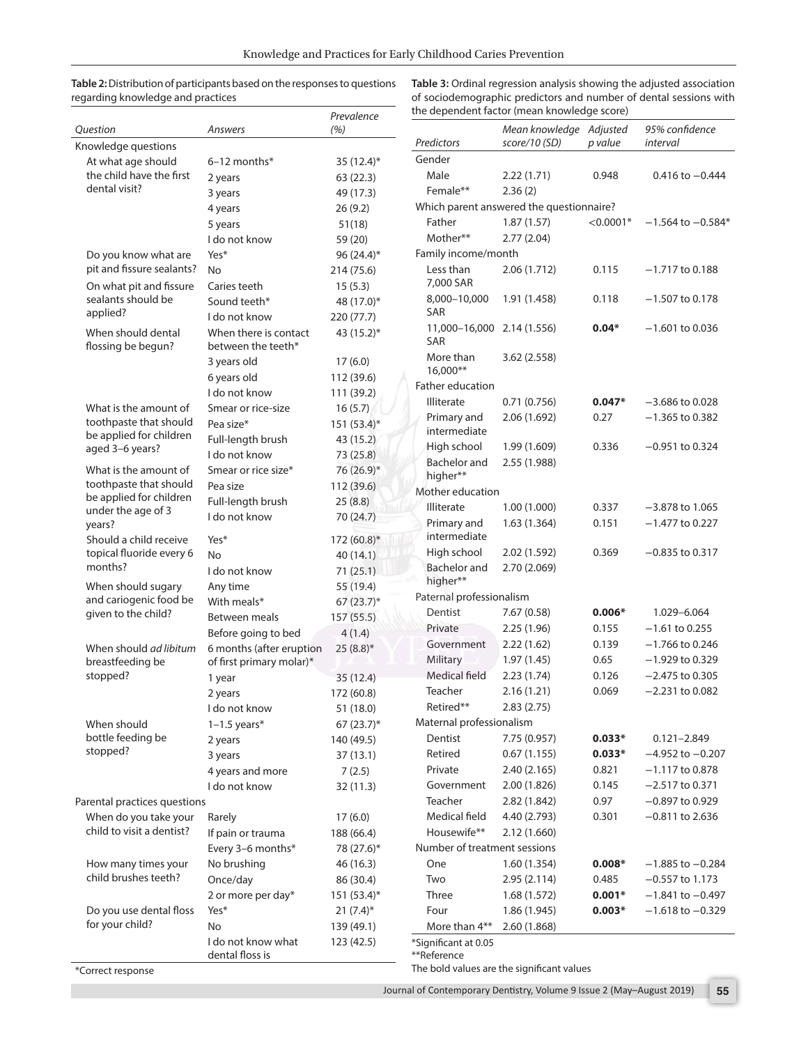**Table 2:** Distribution of participants based on the responses to questions regarding knowledge and practices

**Table 3:** Ordinal regression analysis showing the adjusted association of sociodemographic predictors and number of dental sessions with the dependent factor (mean knowledge score)

|                                             |                                             | Prevalence                                           | the dependent factor (mean knowledge score) |                                            |             |                       |  |
|---------------------------------------------|---------------------------------------------|------------------------------------------------------|---------------------------------------------|--------------------------------------------|-------------|-----------------------|--|
| Question                                    | Answers                                     | (%)                                                  |                                             | Mean knowledge Adjusted                    |             | 95% confidence        |  |
| Knowledge questions                         |                                             |                                                      | Predictors                                  | score/10 (SD)                              | p value     | interval              |  |
| At what age should                          | $6-12$ months*                              | 35 $(12.4)$ *                                        | Gender                                      |                                            |             |                       |  |
| the child have the first                    | 2 years                                     | 63(22.3)                                             | Male                                        | 2.22(1.71)                                 | 0.948       | $0.416$ to $-0.444$   |  |
| dental visit?                               | 3 years                                     | 49 (17.3)                                            | Female**                                    | 2.36(2)                                    |             |                       |  |
|                                             | 4 years                                     | Which parent answered the questionnaire?<br>26 (9.2) |                                             |                                            |             |                       |  |
|                                             | 5 years                                     | 51(18)                                               | Father                                      | 1.87(1.57)                                 | $< 0.0001*$ | $-1.564$ to $-0.584*$ |  |
|                                             | I do not know                               | 59 (20)                                              | Mother**                                    | 2.77(2.04)                                 |             |                       |  |
| Do you know what are                        | Yes*                                        | 96 $(24.4)^*$                                        | Family income/month                         |                                            |             |                       |  |
| pit and fissure sealants?                   | <b>No</b>                                   | 214 (75.6)                                           | Less than                                   | 2.06(1.712)                                | 0.115       | $-1.717$ to 0.188     |  |
| On what pit and fissure                     | Caries teeth                                | 15(5.3)                                              | 7,000 SAR                                   |                                            |             |                       |  |
| sealants should be                          | Sound teeth*                                | 48 (17.0)*                                           | 8,000-10,000                                | 1.91 (1.458)                               | 0.118       | $-1.507$ to 0.178     |  |
| applied?                                    | I do not know                               | 220 (77.7)                                           | SAR                                         |                                            |             |                       |  |
| When should dental<br>flossing be begun?    | When there is contact<br>between the teeth* | 43 (15.2)*                                           | 11,000-16,000 2.14 (1.556)<br><b>SAR</b>    |                                            | $0.04*$     | $-1.601$ to 0.036     |  |
|                                             | 3 years old                                 | 17(6.0)                                              | More than                                   | 3.62(2.558)                                |             |                       |  |
|                                             | 6 years old                                 | 112 (39.6)                                           | 16,000**                                    |                                            |             |                       |  |
|                                             | I do not know                               | 111 (39.2)                                           | Father education                            |                                            |             |                       |  |
| What is the amount of                       | Smear or rice-size                          | 16(5.7)                                              | <b>Illiterate</b>                           | 0.71(0.756)                                | $0.047*$    | $-3.686$ to 0.028     |  |
| toothpaste that should                      | Pea size*                                   | 151 (53.4)*                                          | Primary and                                 | 2.06 (1.692)                               | 0.27        | $-1.365$ to 0.382     |  |
| be applied for children                     | Full-length brush                           | 43 (15.2)                                            | intermediate                                |                                            |             |                       |  |
| aged 3-6 years?                             | I do not know                               | 73 (25.8)                                            | High school                                 | 1.99 (1.609)                               | 0.336       | $-0.951$ to 0.324     |  |
| What is the amount of                       | Smear or rice size*                         | 76 (26.9)*                                           | <b>Bachelor</b> and                         | 2.55 (1.988)                               |             |                       |  |
| toothpaste that should                      | Pea size                                    | 112 (39.6)                                           | higher**                                    |                                            |             |                       |  |
| be applied for children                     | Full-length brush                           | 25(8.8)                                              | Mother education                            |                                            |             |                       |  |
| under the age of 3                          | I do not know                               | 70 (24.7)                                            | Illiterate                                  | 1.00(1.000)                                | 0.337       | $-3.878$ to 1.065     |  |
| years?                                      |                                             |                                                      | Primary and                                 | 1.63(1.364)                                | 0.151       | $-1.477$ to 0.227     |  |
| Should a child receive                      | Yes*                                        | 172 (60.8)*                                          | intermediate                                |                                            |             |                       |  |
| topical fluoride every 6                    | <b>No</b>                                   | 40(14.1)                                             | High school                                 | 2.02 (1.592)                               | 0.369       | $-0.835$ to 0.317     |  |
| months?                                     | I do not know                               | 71(25.1)                                             | <b>Bachelor</b> and                         | 2.70(2.069)                                |             |                       |  |
| When should sugary                          | Any time                                    | 55 (19.4)                                            | higher**                                    |                                            |             |                       |  |
| and cariogenic food be                      | With meals*                                 | $67(23.7)$ *                                         | Paternal professionalism                    |                                            |             |                       |  |
| given to the child?                         | Between meals                               | 157 (55.5)                                           | Dentist                                     | 7.67(0.58)                                 | $0.006*$    | 1.029-6.064           |  |
|                                             | Before going to bed                         | 4(1.4)                                               | Private                                     | 2.25(1.96)                                 | 0.155       | $-1.61$ to 0.255      |  |
| When should ad libitum                      | 6 months (after eruption                    | $25(8.8)$ *                                          | Government                                  | 2.22(1.62)                                 | 0.139       | $-1.766$ to 0.246     |  |
| breastfeeding be                            | of first primary molar)*                    |                                                      | Military                                    | 1.97(1.45)                                 | 0.65        | $-1.929$ to 0.329     |  |
| stopped?                                    | 1 year                                      | 35 (12.4)                                            | Medical field                               | 2.23(1.74)                                 | 0.126       | $-2.475$ to 0.305     |  |
|                                             | 2 years                                     | 172 (60.8)                                           | Teacher                                     | 2.16(1.21)                                 | 0.069       | $-2.231$ to 0.082     |  |
|                                             | I do not know                               | 51 (18.0)                                            | Retired**                                   | 2.83(2.75)                                 |             |                       |  |
| When should                                 | $1-1.5$ years*                              | $67(23.7)$ *                                         | Maternal professionalism                    |                                            |             |                       |  |
| bottle feeding be                           | 2 years                                     | 140 (49.5)                                           | Dentist                                     | 7.75 (0.957)                               | $0.033*$    | $0.121 - 2.849$       |  |
| stopped?                                    | 3 years                                     | 37(13.1)                                             | Retired                                     | 0.67(1.155)                                | $0.033*$    | $-4.952$ to $-0.207$  |  |
|                                             | 4 years and more                            | 7(2.5)                                               | Private                                     | 2.40(2.165)                                | 0.821       | $-1.117$ to 0.878     |  |
|                                             | I do not know                               | 32(11.3)                                             | Government                                  | 2.00(1.826)                                | 0.145       | $-2.517$ to 0.371     |  |
| Parental practices questions                |                                             |                                                      | Teacher                                     | 2.82 (1.842)                               | 0.97        | $-0.897$ to 0.929     |  |
| When do you take your                       | Rarely                                      | 17(6.0)                                              | Medical field                               | 4.40 (2.793)                               | 0.301       | $-0.811$ to 2.636     |  |
| child to visit a dentist?                   | If pain or trauma                           | 188 (66.4)                                           | Housewife**                                 | 2.12(1.660)                                |             |                       |  |
|                                             | Every 3-6 months*                           | 78 (27.6)*                                           | Number of treatment sessions                |                                            |             |                       |  |
| How many times your<br>child brushes teeth? | No brushing                                 | 46 (16.3)                                            | One                                         | 1.60(1.354)                                | $0.008*$    | $-1.885$ to $-0.284$  |  |
|                                             | Once/day                                    | 86 (30.4)                                            | Two                                         | 2.95(2.114)                                | 0.485       | $-0.557$ to 1.173     |  |
|                                             | 2 or more per day*                          | 151 (53.4)*                                          | Three                                       | 1.68(1.572)                                | $0.001*$    | $-1.841$ to $-0.497$  |  |
| Do you use dental floss                     | Yes*                                        | $21 (7.4)^*$                                         | Four                                        | 1.86 (1.945)                               | $0.003*$    | $-1.618$ to $-0.329$  |  |
| for your child?                             | <b>No</b>                                   | 139 (49.1)                                           | More than 4**                               | 2.60(1.868)                                |             |                       |  |
|                                             | I do not know what<br>dental floss is       | 123 (42.5)                                           | *Significant at 0.05<br>**Reference         |                                            |             |                       |  |
|                                             |                                             |                                                      |                                             | The hold values are the significant values |             |                       |  |

\*Correct response

The bold values are the significant values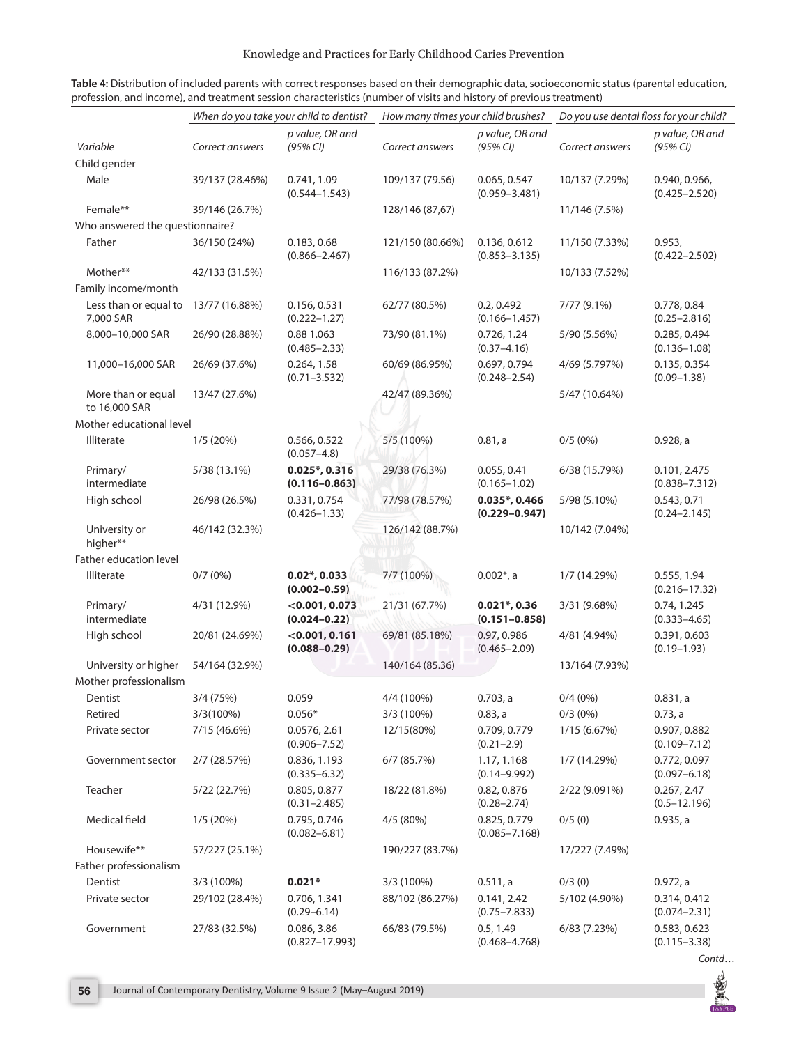|                                     | When do you take your child to dentist? |                                       | How many times your child brushes? |                                       | Do you use dental floss for your child? |                                    |
|-------------------------------------|-----------------------------------------|---------------------------------------|------------------------------------|---------------------------------------|-----------------------------------------|------------------------------------|
| Variable                            | Correct answers                         | p value, OR and<br>(95% CI)           | Correct answers                    | p value, OR and<br>(95% CI)           | Correct answers                         | p value, OR and<br>(95% CI)        |
| Child gender                        |                                         |                                       |                                    |                                       |                                         |                                    |
| Male                                | 39/137 (28.46%)                         | 0.741, 1.09<br>$(0.544 - 1.543)$      | 109/137 (79.56)                    | 0.065, 0.547<br>$(0.959 - 3.481)$     | 10/137 (7.29%)                          | 0.940, 0.966,<br>$(0.425 - 2.520)$ |
| Female**                            | 39/146 (26.7%)                          |                                       | 128/146 (87,67)                    |                                       | 11/146 (7.5%)                           |                                    |
| Who answered the questionnaire?     |                                         |                                       |                                    |                                       |                                         |                                    |
| Father                              | 36/150 (24%)                            | 0.183, 0.68<br>$(0.866 - 2.467)$      | 121/150 (80.66%)                   | 0.136, 0.612<br>$(0.853 - 3.135)$     | 11/150 (7.33%)                          | 0.953,<br>$(0.422 - 2.502)$        |
| Mother**                            | 42/133 (31.5%)                          |                                       | 116/133 (87.2%)                    |                                       | 10/133 (7.52%)                          |                                    |
| Family income/month                 |                                         |                                       |                                    |                                       |                                         |                                    |
| Less than or equal to<br>7,000 SAR  | 13/77 (16.88%)                          | 0.156, 0.531<br>$(0.222 - 1.27)$      | 62/77 (80.5%)                      | 0.2, 0.492<br>$(0.166 - 1.457)$       | 7/77 (9.1%)                             | 0.778, 0.84<br>$(0.25 - 2.816)$    |
| 8,000-10,000 SAR                    | 26/90 (28.88%)                          | 0.88 1.063<br>$(0.485 - 2.33)$        | 73/90 (81.1%)                      | 0.726, 1.24<br>$(0.37 - 4.16)$        | 5/90 (5.56%)                            | 0.285, 0.494<br>$(0.136 - 1.08)$   |
| 11,000-16,000 SAR                   | 26/69 (37.6%)                           | 0.264, 1.58<br>$(0.71 - 3.532)$       | 60/69 (86.95%)                     | 0.697, 0.794<br>$(0.248 - 2.54)$      | 4/69 (5.797%)                           | 0.135, 0.354<br>$(0.09 - 1.38)$    |
| More than or equal<br>to 16,000 SAR | 13/47 (27.6%)                           |                                       | 42/47 (89.36%)                     |                                       | 5/47 (10.64%)                           |                                    |
| Mother educational level            |                                         |                                       |                                    |                                       |                                         |                                    |
| <b>Illiterate</b>                   | 1/5(20%)                                | 0.566, 0.522<br>$(0.057 - 4.8)$       | 5/5 (100%)                         | 0.81, a                               | $0/5(0\%)$                              | 0.928, a                           |
| Primary/<br>intermediate            | 5/38 (13.1%)                            | $0.025$ *, 0.316<br>$(0.116 - 0.863)$ | 29/38 (76.3%)                      | 0.055, 0.41<br>$(0.165 - 1.02)$       | 6/38 (15.79%)                           | 0.101, 2.475<br>$(0.838 - 7.312)$  |
| High school                         | 26/98 (26.5%)                           | 0.331, 0.754<br>$(0.426 - 1.33)$      | 77/98 (78.57%)                     | $0.035$ *, 0.466<br>$(0.229 - 0.947)$ | 5/98 (5.10%)                            | 0.543, 0.71<br>$(0.24 - 2.145)$    |
| University or<br>higher**           | 46/142 (32.3%)                          |                                       | 126/142 (88.7%)                    |                                       | 10/142 (7.04%)                          |                                    |
| Father education level              |                                         |                                       |                                    |                                       |                                         |                                    |
| Illiterate                          | 0/7(0%)                                 | $0.02$ *, 0.033<br>$(0.002 - 0.59)$   | 7/7 (100%)                         | $0.002$ *, a                          | 1/7 (14.29%)                            | 0.555, 1.94<br>$(0.216 - 17.32)$   |
| Primary/<br>intermediate            | 4/31 (12.9%)                            | $<$ 0.001, 0.073<br>$(0.024 - 0.22)$  | 21/31 (67.7%)                      | $0.021$ *, 0.36<br>$(0.151 - 0.858)$  | 3/31 (9.68%)                            | 0.74, 1.245<br>$(0.333 - 4.65)$    |
| High school                         | 20/81 (24.69%)                          | $<$ 0.001, 0.161<br>$(0.088 - 0.29)$  | 69/81 (85.18%)                     | 0.97, 0.986<br>$(0.465 - 2.09)$       | 4/81 (4.94%)                            | 0.391, 0.603<br>$(0.19 - 1.93)$    |
| University or higher                | 54/164 (32.9%)                          |                                       | 140/164 (85.36)                    |                                       | 13/164 (7.93%)                          |                                    |
| Mother professionalism              |                                         |                                       |                                    |                                       |                                         |                                    |
| Dentist                             | 3/4 (75%)                               | 0.059                                 | 4/4 (100%)                         | $0.703$ , a                           | $0/4(0\%)$                              | 0.831, a                           |
| Retired                             | $3/3(100\%)$                            | $0.056*$                              | 3/3 (100%)                         | 0.83, a                               | $0/3(0\%)$                              | 0.73, a                            |
| Private sector                      | 7/15 (46.6%)                            | 0.0576, 2.61<br>$(0.906 - 7.52)$      | 12/15(80%)                         | 0.709, 0.779<br>$(0.21 - 2.9)$        | 1/15 (6.67%)                            | 0.907, 0.882<br>$(0.109 - 7.12)$   |
| Government sector                   | 2/7 (28.57%)                            | 0.836, 1.193<br>$(0.335 - 6.32)$      | 6/7(85.7%)                         | 1.17, 1.168<br>$(0.14 - 9.992)$       | 1/7 (14.29%)                            | 0.772, 0.097<br>$(0.097 - 6.18)$   |
| Teacher                             | 5/22 (22.7%)                            | 0.805, 0.877<br>$(0.31 - 2.485)$      | 18/22 (81.8%)                      | 0.82, 0.876<br>$(0.28 - 2.74)$        | 2/22 (9.091%)                           | 0.267, 2.47<br>$(0.5 - 12.196)$    |
| Medical field                       | 1/5(20%)                                | 0.795, 0.746<br>$(0.082 - 6.81)$      | 4/5 (80%)                          | 0.825, 0.779<br>$(0.085 - 7.168)$     | 0/5(0)                                  | 0.935, a                           |
| Housewife**                         | 57/227 (25.1%)                          |                                       | 190/227 (83.7%)                    |                                       | 17/227 (7.49%)                          |                                    |
| Father professionalism              |                                         |                                       |                                    |                                       |                                         |                                    |
| Dentist                             | 3/3 (100%)                              | $0.021*$                              | 3/3 (100%)                         | 0.511, a                              | 0/3(0)                                  | 0.972, a                           |
| Private sector                      | 29/102 (28.4%)                          | 0.706, 1.341<br>$(0.29 - 6.14)$       | 88/102 (86.27%)                    | 0.141, 2.42<br>$(0.75 - 7.833)$       | 5/102 (4.90%)                           | 0.314, 0.412<br>$(0.074 - 2.31)$   |
| Government                          | 27/83 (32.5%)                           | 0.086, 3.86<br>$(0.827 - 17.993)$     | 66/83 (79.5%)                      | 0.5, 1.49<br>$(0.468 - 4.768)$        | 6/83 (7.23%)                            | 0.583, 0.623<br>$(0.115 - 3.38)$   |

**Table 4:** Distribution of included parents with correct responses based on their demographic data, socioeconomic status (parental education, profession, and income), and treatment session characteristics (number of visits and history of previous treatment)

震 JAYPET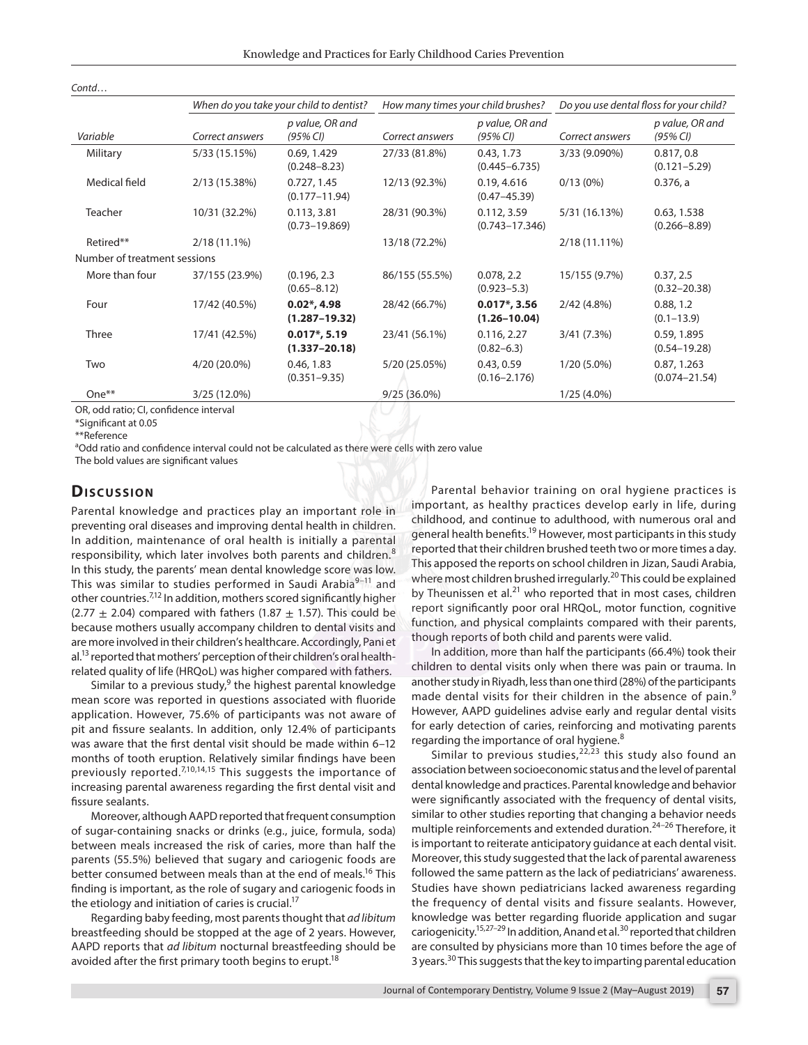|                              | When do you take your child to dentist?<br>How many times your child brushes? |                                                 |                 | Do you use dental floss for your child? |                 |                                  |
|------------------------------|-------------------------------------------------------------------------------|-------------------------------------------------|-----------------|-----------------------------------------|-----------------|----------------------------------|
| Variable                     | Correct answers                                                               | p value, OR and<br>(95% CI)                     | Correct answers | p value, OR and<br>(95% CI)             | Correct answers | p value, OR and<br>(95% CI)      |
| Military                     | 5/33 (15.15%)                                                                 | 0.69, 1.429<br>$(0.248 - 8.23)$                 | 27/33 (81.8%)   | 0.43, 1.73<br>$(0.445 - 6.735)$         | 3/33 (9.090%)   | 0.817, 0.8<br>$(0.121 - 5.29)$   |
| Medical field                | 2/13 (15.38%)                                                                 | 0.727, 1.45<br>$(0.177 - 11.94)$                | 12/13 (92.3%)   | 0.19, 4.616<br>$(0.47 - 45.39)$         | $0/13(0\%)$     | $0.376$ , a                      |
| Teacher                      | 10/31 (32.2%)                                                                 | 0.113, 3.81<br>$(0.73 - 19.869)$                | 28/31 (90.3%)   | 0.112, 3.59<br>$(0.743 - 17.346)$       | 5/31 (16.13%)   | 0.63, 1.538<br>$(0.266 - 8.89)$  |
| Retired**                    | $2/18(11.1\%)$                                                                |                                                 | 13/18 (72.2%)   |                                         | 2/18 (11.11%)   |                                  |
| Number of treatment sessions |                                                                               |                                                 |                 |                                         |                 |                                  |
| More than four               | 37/155 (23.9%)                                                                | (0.196, 2.3)<br>$(0.65 - 8.12)$                 | 86/155 (55.5%)  | 0.078, 2.2<br>$(0.923 - 5.3)$           | 15/155 (9.7%)   | 0.37, 2.5<br>$(0.32 - 20.38)$    |
| Four                         | 17/42 (40.5%)                                                                 | $0.02$ <sup>*</sup> , 4.98<br>$(1.287 - 19.32)$ | 28/42 (66.7%)   | $0.017$ *, 3.56<br>$(1.26 - 10.04)$     | 2/42(4.8%)      | 0.88, 1.2<br>$(0.1 - 13.9)$      |
| Three                        | 17/41 (42.5%)                                                                 | $0.017$ *, 5.19<br>$(1.337 - 20.18)$            | 23/41 (56.1%)   | 0.116, 2.27<br>$(0.82 - 6.3)$           | 3/41(7.3%)      | 0.59, 1.895<br>$(0.54 - 19.28)$  |
| Two                          | 4/20 (20.0%)                                                                  | 0.46, 1.83<br>$(0.351 - 9.35)$                  | 5/20 (25.05%)   | 0.43, 0.59<br>$(0.16 - 2.176)$          | $1/20(5.0\%)$   | 0.87, 1.263<br>$(0.074 - 21.54)$ |
| $One**$                      | 3/25 (12.0%)                                                                  |                                                 | $9/25(36.0\%)$  |                                         | $1/25(4.0\%)$   |                                  |

OR, odd ratio; CI, confidence interval

\*Significant at 0.05

\*\*Reference

*Contd*…

<sup>a</sup>Odd ratio and confidence interval could not be calculated as there were cells with zero value

The bold values are significant values

#### **Dis c u s sio n**

Parental knowledge and practices play an important role in preventing oral diseases and improving dental health in children. In addition, maintenance of oral health is initially a parental responsibility, which later involves both parents and children.<sup>8</sup> In this study, the parents' mean dental knowledge score was low. This was similar to studies performed in Saudi Arabia<sup>9-11</sup> and other countries.7,12 In addition, mothers scored significantly higher  $(2.77 \pm 2.04)$  compared with fathers (1.87  $\pm$  1.57). This could be because mothers usually accompany children to dental visits and are more involved in their children's healthcare. Accordingly, Pani et al.<sup>13</sup> reported that mothers' perception of their children's oral healthrelated quality of life (HRQoL) was higher compared with fathers.

Similar to a previous study,  $9$  the highest parental knowledge mean score was reported in questions associated with fluoride application. However, 75.6% of participants was not aware of pit and fissure sealants. In addition, only 12.4% of participants was aware that the first dental visit should be made within 6–12 months of tooth eruption. Relatively similar findings have been previously reported. $7,10,14,15$  This suggests the importance of increasing parental awareness regarding the first dental visit and fissure sealants.

Moreover, although AAPD reported that frequent consumption of sugar-containing snacks or drinks (e.g., juice, formula, soda) between meals increased the risk of caries, more than half the parents (55.5%) believed that sugary and cariogenic foods are better consumed between meals than at the end of meals.<sup>16</sup> This finding is important, as the role of sugary and cariogenic foods in the etiology and initiation of caries is crucial.<sup>17</sup>

Regarding baby feeding, most parents thought that *ad libitum* breastfeeding should be stopped at the age of 2 years. However, AAPD reports that *ad libitum* nocturnal breastfeeding should be avoided after the first primary tooth begins to erupt.<sup>18</sup>

Parental behavior training on oral hygiene practices is important, as healthy practices develop early in life, during childhood, and continue to adulthood, with numerous oral and general health benefits.19 However, most participants in this study reported that their children brushed teeth two or more times a day. This apposed the reports on school children in Jizan, Saudi Arabia, where most children brushed irregularly.<sup>20</sup> This could be explained by Theunissen et al.<sup>21</sup> who reported that in most cases, children report significantly poor oral HRQoL, motor function, cognitive function, and physical complaints compared with their parents, though reports of both child and parents were valid.

In addition, more than half the participants (66.4%) took their children to dental visits only when there was pain or trauma. In another study in Riyadh, less than one third (28%) of the participants made dental visits for their children in the absence of pain.<sup>9</sup> However, AAPD guidelines advise early and regular dental visits for early detection of caries, reinforcing and motivating parents regarding the importance of oral hygiene.<sup>8</sup>

Similar to previous studies,  $2^{2,23}$  this study also found an association between socioeconomic status and the level of parental dental knowledge and practices. Parental knowledge and behavior were significantly associated with the frequency of dental visits, similar to other studies reporting that changing a behavior needs multiple reinforcements and extended duration.<sup>24-26</sup> Therefore, it is important to reiterate anticipatory guidance at each dental visit. Moreover, this study suggested that the lack of parental awareness followed the same pattern as the lack of pediatricians' awareness. Studies have shown pediatricians lacked awareness regarding the frequency of dental visits and fissure sealants. However, knowledge was better regarding fluoride application and sugar cariogenicity.<sup>15,27–29</sup> In addition, Anand et al.<sup>30</sup> reported that children are consulted by physicians more than 10 times before the age of 3 years.<sup>30</sup> This suggests that the key to imparting parental education